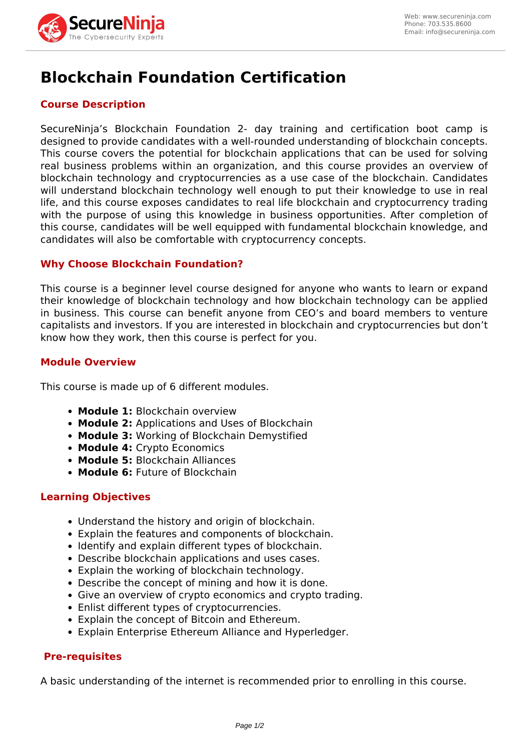

# **Blockchain Foundation Certification**

# **Course Description**

SecureNinja's Blockchain Foundation 2- day training and certification boot camp is designed to provide candidates with a well-rounded understanding of blockchain concepts. This course covers the potential for blockchain applications that can be used for solving real business problems within an organization, and this course provides an overview of blockchain technology and cryptocurrencies as a use case of the blockchain. Candidates will understand blockchain technology well enough to put their knowledge to use in real life, and this course exposes candidates to real life blockchain and cryptocurrency trading with the purpose of using this knowledge in business opportunities. After completion of this course, candidates will be well equipped with fundamental blockchain knowledge, and candidates will also be comfortable with cryptocurrency concepts.

## **Why Choose Blockchain Foundation?**

This course is a beginner level course designed for anyone who wants to learn or expand their knowledge of blockchain technology and how blockchain technology can be applied in business. This course can benefit anyone from CEO's and board members to venture capitalists and investors. If you are interested in blockchain and cryptocurrencies but don't know how they work, then this course is perfect for you.

#### **Module Overview**

This course is made up of 6 different modules.

- **Module 1:** Blockchain overview
- **Module 2:** Applications and Uses of Blockchain
- **Module 3:** Working of Blockchain Demystified
- **Module 4:** Crypto Economics
- **Module 5:** Blockchain Alliances
- **Module 6:** Future of Blockchain

#### **Learning Objectives**

- Understand the history and origin of blockchain.
- Explain the features and components of blockchain.
- Identify and explain different types of blockchain.
- Describe blockchain applications and uses cases.
- Explain the working of blockchain technology.
- Describe the concept of mining and how it is done.
- Give an overview of crypto economics and crypto trading.
- Enlist different types of cryptocurrencies.
- Explain the concept of Bitcoin and Ethereum.
- Explain Enterprise Ethereum Alliance and Hyperledger.

#### **Pre-requisites**

A basic understanding of the internet is recommended prior to enrolling in this course.